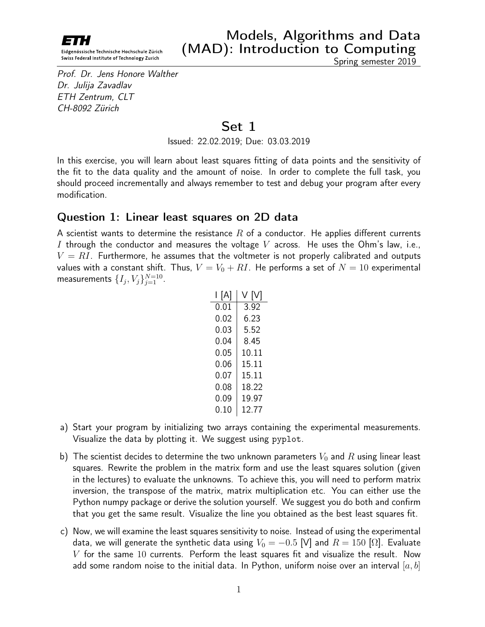

Prof. Dr. Jens Honore Walther Dr. Julija Zavadlav ETH Zentrum, CLT CH-8092 Zürich

## Set 1

Issued: 22.02.2019; Due: 03.03.2019

In this exercise, you will learn about least squares fitting of data points and the sensitivity of the fit to the data quality and the amount of noise. In order to complete the full task, you should proceed incrementally and always remember to test and debug your program after every modification.

## Question 1: Linear least squares on 2D data

A scientist wants to determine the resistance R of a conductor. He applies different currents I through the conductor and measures the voltage V across. He uses the Ohm's law, i.e.,  $V = RI$ . Furthermore, he assumes that the voltmeter is not properly calibrated and outputs values with a constant shift. Thus,  $V = V_0 + RI$ . He performs a set of  $N = 10$  experimental measurements  $\{I_j,V_j\}_{j=1}^{N=10}$ .

| l [A]    | ΙVΙ<br>V. |
|----------|-----------|
| $0.01\,$ | 3.92      |
| 0.02     | 6.23      |
| 0.03     | 5.52      |
| 0.04     | 8.45      |
| 0.05     | 10.11     |
| 0.06     | 15.11     |
| 0.07     | 15.11     |
| 0.08     | 18.22     |
| 0.09     | 19.97     |
| 0.10     | 12.77     |

- a) Start your program by initializing two arrays containing the experimental measurements. Visualize the data by plotting it. We suggest using pyplot.
- b) The scientist decides to determine the two unknown parameters  $V_0$  and R using linear least squares. Rewrite the problem in the matrix form and use the least squares solution (given in the lectures) to evaluate the unknowns. To achieve this, you will need to perform matrix inversion, the transpose of the matrix, matrix multiplication etc. You can either use the Python numpy package or derive the solution yourself. We suggest you do both and confirm that you get the same result. Visualize the line you obtained as the best least squares fit.
- c) Now, we will examine the least squares sensitivity to noise. Instead of using the experimental data, we will generate the synthetic data using  $V_0 = -0.5$  [V] and  $R = 150$  [ $\Omega$ ]. Evaluate  $V$  for the same 10 currents. Perform the least squares fit and visualize the result. Now add some random noise to the initial data. In Python, uniform noise over an interval  $[a, b]$